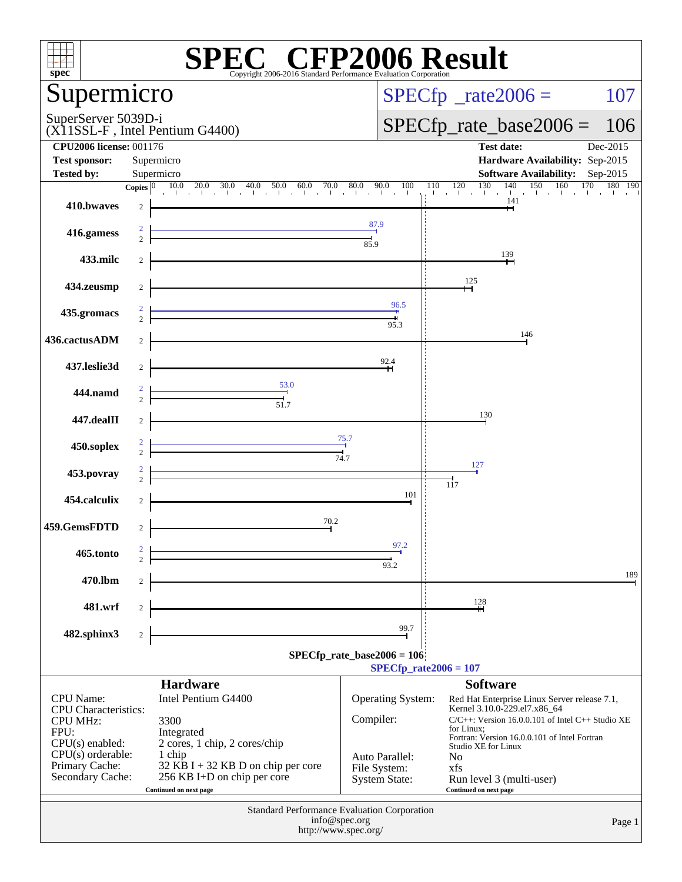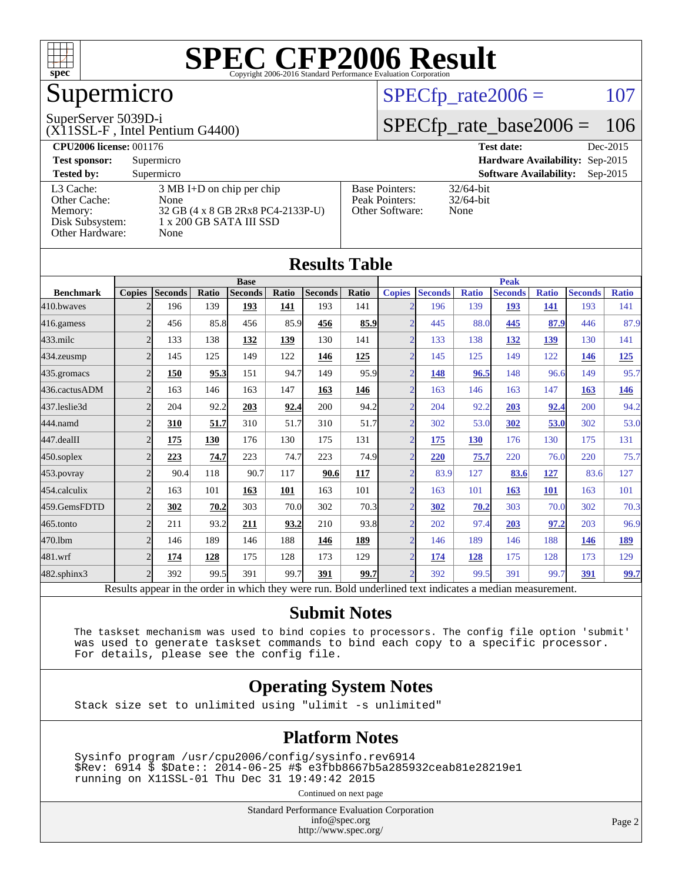

## Supermicro

#### SuperServer 5039D-i

(X11SSL-F , Intel Pentium G4400)

#### $SPECTp_rate2006 = 107$

#### [SPECfp\\_rate\\_base2006 =](http://www.spec.org/auto/cpu2006/Docs/result-fields.html#SPECfpratebase2006) 106

| <b>CPU2006 license: 001176</b> |                                     |                       | <b>Test date:</b><br>Dec-2015               |
|--------------------------------|-------------------------------------|-----------------------|---------------------------------------------|
| <b>Test sponsor:</b>           | Supermicro                          |                       | Hardware Availability: Sep-2015             |
| <b>Tested by:</b>              | Supermicro                          |                       | <b>Software Availability:</b><br>$Sep-2015$ |
| L3 Cache:                      | $3 \text{ MB I+D}$ on chip per chip | <b>Base Pointers:</b> | $32/64$ -bit                                |
| Other Cache:                   | None                                | Peak Pointers:        | $32/64$ -bit                                |
| Memory:                        | 32 GB (4 x 8 GB 2Rx8 PC4-2133P-U)   | Other Software:       | None                                        |
| Disk Subsystem:                | 1 x 200 GB SATA III SSD             |                       |                                             |
| Other Hardware:                | None                                |                       |                                             |

|                   |                |                                                                                                          |       |                |       | <b>Results Table</b> |              |                          |                |              |                |              |                |              |
|-------------------|----------------|----------------------------------------------------------------------------------------------------------|-------|----------------|-------|----------------------|--------------|--------------------------|----------------|--------------|----------------|--------------|----------------|--------------|
|                   | <b>Base</b>    |                                                                                                          |       |                |       | <b>Peak</b>          |              |                          |                |              |                |              |                |              |
| <b>Benchmark</b>  | <b>Copies</b>  | Seconds                                                                                                  | Ratio | <b>Seconds</b> | Ratio | <b>Seconds</b>       | <b>Ratio</b> | <b>Copies</b>            | <b>Seconds</b> | <b>Ratio</b> | <b>Seconds</b> | <b>Ratio</b> | <b>Seconds</b> | <b>Ratio</b> |
| 410.bwayes        |                | 196                                                                                                      | 139   | 193            | 141   | 193                  | 141          |                          | 196            | 139          | 193            | 141          | 193            | 141          |
| 416.gamess        | $\overline{2}$ | 456                                                                                                      | 85.8  | 456            | 85.9  | 456                  | 85.9         | $\mathcal{D}$            | 445            | 88.0         | 445            | 87.9         | 446            | 87.9         |
| $433$ .milc       | $\overline{2}$ | 133                                                                                                      | 138   | 132            | 139   | 130                  | 141          | $\overline{2}$           | 133            | 138          | 132            | 139          | 130            | 141          |
| 434.zeusmp        | $\overline{2}$ | 145                                                                                                      | 125   | 149            | 122   | 146                  | 125          | $\overline{\mathcal{L}}$ | 145            | 125          | 149            | 122          | <b>146</b>     | <u>125</u>   |
| 435.gromacs       | $\overline{2}$ | 150                                                                                                      | 95.3  | 151            | 94.7  | 149                  | 95.9         | $\mathcal{D}$            | 148            | 96.5         | 148            | 96.6         | 149            | 95.7         |
| 436.cactusADM     | $\overline{2}$ | 163                                                                                                      | 146   | 163            | 147   | 163                  | 146          | $\overline{\mathcal{L}}$ | 163            | 146          | 163            | 147          | 163            | <u>146</u>   |
| 437.leslie3d      | $\overline{2}$ | 204                                                                                                      | 92.2  | 203            | 92.4  | 200                  | 94.2         | $\overline{2}$           | 204            | 92.2         | 203            | 92.4         | 200            | 94.2         |
| 444.namd          | $\overline{2}$ | 310                                                                                                      | 51.7  | 310            | 51.7  | 310                  | 51.7         | $\mathfrak{D}$           | 302            | 53.0         | 302            | 53.0         | 302            | 53.0         |
| 447.dealII        | $\overline{2}$ | 175                                                                                                      | 130   | 176            | 130   | 175                  | 131          | $\overline{2}$           | 175            | <b>130</b>   | 176            | 130          | 175            | 131          |
| $450$ .soplex     | $\overline{2}$ | 223                                                                                                      | 74.7  | 223            | 74.7  | 223                  | 74.9         | $\overline{2}$           | 220            | 75.7         | 220            | 76.0         | 220            | 75.7         |
| $453$ .povray     | $\overline{2}$ | 90.4                                                                                                     | 118   | 90.7           | 117   | 90.6                 | <b>117</b>   | $\overline{2}$           | 83.9           | 127          | 83.6           | 127          | 83.6           | 127          |
| 454.calculix      | $\overline{2}$ | 163                                                                                                      | 101   | 163            | 101   | 163                  | 101          | $\overline{2}$           | 163            | 101          | 163            | 101          | 163            | 101          |
| 459.GemsFDTD      | $\overline{2}$ | 302                                                                                                      | 70.2  | 303            | 70.0  | 302                  | 70.3         | $\overline{\mathcal{L}}$ | 302            | 70.2         | 303            | 70.0         | 302            | 70.3         |
| $465$ .tonto      | $\overline{2}$ | 211                                                                                                      | 93.2  | 211            | 93.2  | 210                  | 93.8         | $\mathfrak{D}$           | 202            | 97.4         | 203            | 97.2         | 203            | 96.9         |
| 470.1bm           | $\overline{2}$ | 146                                                                                                      | 189   | 146            | 188   | 146                  | <u>189</u>   | $\overline{ }$           | 146            | 189          | 146            | 188          | <b>146</b>     | <u>189</u>   |
| 481.wrf           | $\overline{2}$ | 174                                                                                                      | 128   | 175            | 128   | 173                  | 129          | $\overline{\mathcal{L}}$ | <u>174</u>     | 128          | 175            | 128          | 173            | 129          |
| $482$ .sphinx $3$ | $\overline{2}$ | 392                                                                                                      | 99.5  | 391            | 99.7  | 391                  | 99.7         | $\overline{\mathcal{L}}$ | 392            | 99.5         | 391            | 99.7         | 391            | <u>99.7</u>  |
|                   |                | Results appear in the order in which they were run. Bold underlined text indicates a median measurement. |       |                |       |                      |              |                          |                |              |                |              |                |              |

#### **[Submit Notes](http://www.spec.org/auto/cpu2006/Docs/result-fields.html#SubmitNotes)**

 The taskset mechanism was used to bind copies to processors. The config file option 'submit' was used to generate taskset commands to bind each copy to a specific processor. For details, please see the config file.

#### **[Operating System Notes](http://www.spec.org/auto/cpu2006/Docs/result-fields.html#OperatingSystemNotes)**

Stack size set to unlimited using "ulimit -s unlimited"

#### **[Platform Notes](http://www.spec.org/auto/cpu2006/Docs/result-fields.html#PlatformNotes)**

 Sysinfo program /usr/cpu2006/config/sysinfo.rev6914 \$Rev: 6914 \$ \$Date:: 2014-06-25 #\$ e3fbb8667b5a285932ceab81e28219e1 running on X11SSL-01 Thu Dec 31 19:49:42 2015

Continued on next page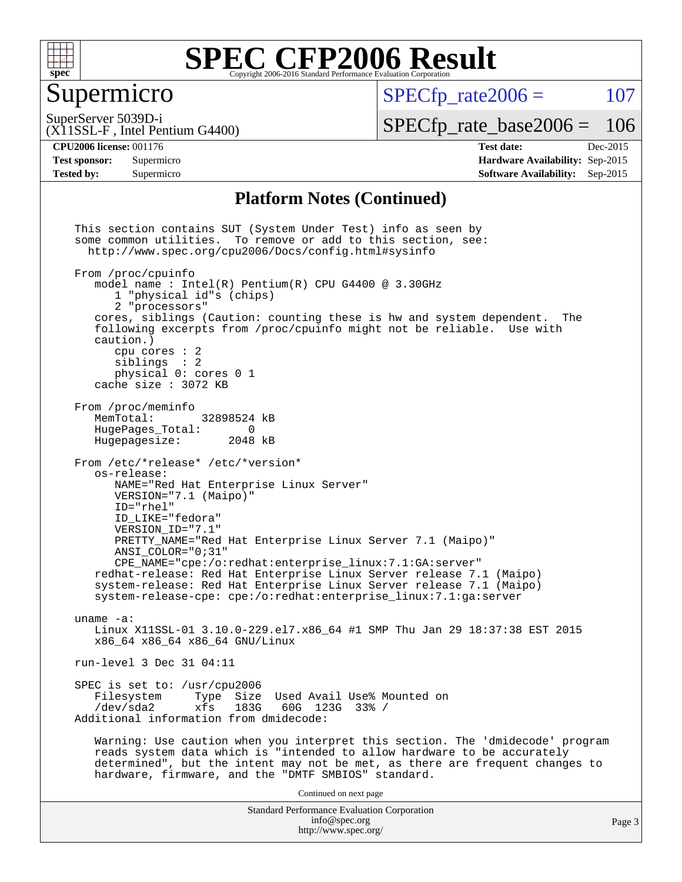

#### Supermicro

 $SPECTp\_rate2006 = 107$ 

SuperServer 5039D-i

[SPECfp\\_rate\\_base2006 =](http://www.spec.org/auto/cpu2006/Docs/result-fields.html#SPECfpratebase2006) 106

(X11SSL-F , Intel Pentium G4400)

**[CPU2006 license:](http://www.spec.org/auto/cpu2006/Docs/result-fields.html#CPU2006license)** 001176 **[Test date:](http://www.spec.org/auto/cpu2006/Docs/result-fields.html#Testdate)** Dec-2015 **[Test sponsor:](http://www.spec.org/auto/cpu2006/Docs/result-fields.html#Testsponsor)** Supermicro **[Hardware Availability:](http://www.spec.org/auto/cpu2006/Docs/result-fields.html#HardwareAvailability)** Sep-2015 **[Tested by:](http://www.spec.org/auto/cpu2006/Docs/result-fields.html#Testedby)** Supermicro **Supermicro [Software Availability:](http://www.spec.org/auto/cpu2006/Docs/result-fields.html#SoftwareAvailability)** Sep-2015

#### **[Platform Notes \(Continued\)](http://www.spec.org/auto/cpu2006/Docs/result-fields.html#PlatformNotes)**

Standard Performance Evaluation Corporation [info@spec.org](mailto:info@spec.org) <http://www.spec.org/> Page 3 This section contains SUT (System Under Test) info as seen by some common utilities. To remove or add to this section, see: <http://www.spec.org/cpu2006/Docs/config.html#sysinfo> From /proc/cpuinfo model name : Intel(R) Pentium(R) CPU G4400 @ 3.30GHz 1 "physical id"s (chips) 2 "processors" cores, siblings (Caution: counting these is hw and system dependent. The following excerpts from /proc/cpuinfo might not be reliable. Use with caution.) cpu cores : 2 siblings : 2 physical 0: cores 0 1 cache size : 3072 KB From /proc/meminfo MemTotal: 32898524 kB<br>HugePages Total: 0 HugePages\_Total: 0 Hugepagesize: 2048 kB From /etc/\*release\* /etc/\*version\* os-release: NAME="Red Hat Enterprise Linux Server" VERSION="7.1 (Maipo)" ID="rhel" ID\_LIKE="fedora" VERSION\_ID="7.1" PRETTY\_NAME="Red Hat Enterprise Linux Server 7.1 (Maipo)" ANSI\_COLOR="0;31" CPE\_NAME="cpe:/o:redhat:enterprise\_linux:7.1:GA:server" redhat-release: Red Hat Enterprise Linux Server release 7.1 (Maipo) system-release: Red Hat Enterprise Linux Server release 7.1 (Maipo) system-release-cpe: cpe:/o:redhat:enterprise\_linux:7.1:ga:server uname -a: Linux X11SSL-01 3.10.0-229.el7.x86\_64 #1 SMP Thu Jan 29 18:37:38 EST 2015 x86\_64 x86\_64 x86\_64 GNU/Linux run-level 3 Dec 31 04:11 SPEC is set to: /usr/cpu2006<br>Filesystem Type Size Type Size Used Avail Use% Mounted on /dev/sda2 xfs 183G 60G 123G 33% / Additional information from dmidecode: Warning: Use caution when you interpret this section. The 'dmidecode' program reads system data which is "intended to allow hardware to be accurately determined", but the intent may not be met, as there are frequent changes to hardware, firmware, and the "DMTF SMBIOS" standard. Continued on next page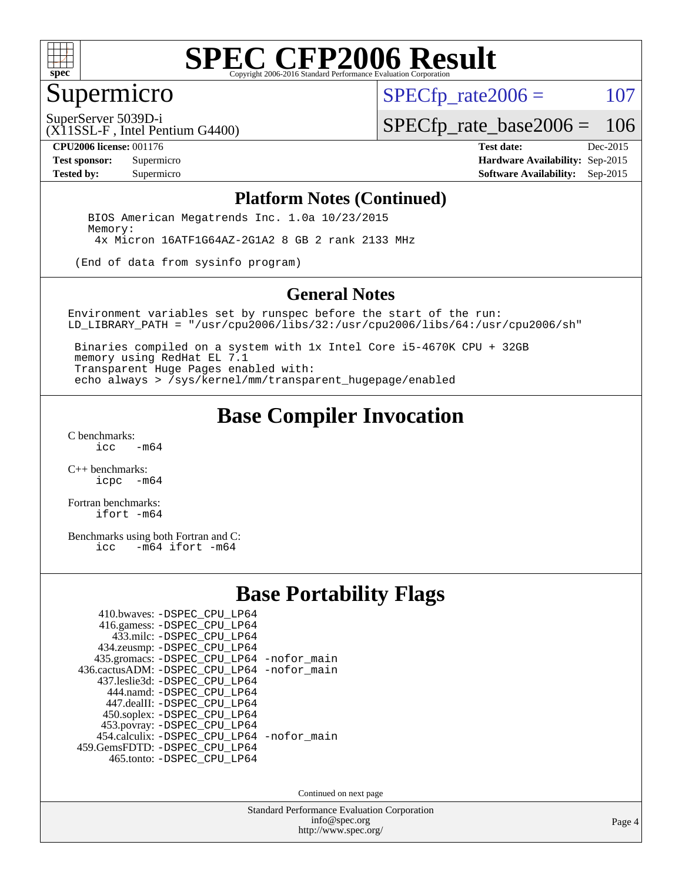

## Supermicro

 $SPECTp\_rate2006 = 107$ 

SuperServer 5039D-i

[SPECfp\\_rate\\_base2006 =](http://www.spec.org/auto/cpu2006/Docs/result-fields.html#SPECfpratebase2006) 106

(X11SSL-F , Intel Pentium G4400)

**[CPU2006 license:](http://www.spec.org/auto/cpu2006/Docs/result-fields.html#CPU2006license)** 001176 **[Test date:](http://www.spec.org/auto/cpu2006/Docs/result-fields.html#Testdate)** Dec-2015 **[Test sponsor:](http://www.spec.org/auto/cpu2006/Docs/result-fields.html#Testsponsor)** Supermicro **[Hardware Availability:](http://www.spec.org/auto/cpu2006/Docs/result-fields.html#HardwareAvailability)** Sep-2015 **[Tested by:](http://www.spec.org/auto/cpu2006/Docs/result-fields.html#Testedby)** Supermicro **Supermicro [Software Availability:](http://www.spec.org/auto/cpu2006/Docs/result-fields.html#SoftwareAvailability)** Sep-2015

#### **[Platform Notes \(Continued\)](http://www.spec.org/auto/cpu2006/Docs/result-fields.html#PlatformNotes)**

 BIOS American Megatrends Inc. 1.0a 10/23/2015 Memory: 4x Micron 16ATF1G64AZ-2G1A2 8 GB 2 rank 2133 MHz

(End of data from sysinfo program)

#### **[General Notes](http://www.spec.org/auto/cpu2006/Docs/result-fields.html#GeneralNotes)**

Environment variables set by runspec before the start of the run: LD\_LIBRARY\_PATH = "/usr/cpu2006/libs/32:/usr/cpu2006/libs/64:/usr/cpu2006/sh"

 Binaries compiled on a system with 1x Intel Core i5-4670K CPU + 32GB memory using RedHat EL 7.1 Transparent Huge Pages enabled with: echo always > /sys/kernel/mm/transparent\_hugepage/enabled

### **[Base Compiler Invocation](http://www.spec.org/auto/cpu2006/Docs/result-fields.html#BaseCompilerInvocation)**

[C benchmarks](http://www.spec.org/auto/cpu2006/Docs/result-fields.html#Cbenchmarks):  $-m64$ 

[C++ benchmarks:](http://www.spec.org/auto/cpu2006/Docs/result-fields.html#CXXbenchmarks) [icpc -m64](http://www.spec.org/cpu2006/results/res2016q1/cpu2006-20160106-38591.flags.html#user_CXXbase_intel_icpc_64bit_bedb90c1146cab66620883ef4f41a67e)

[Fortran benchmarks](http://www.spec.org/auto/cpu2006/Docs/result-fields.html#Fortranbenchmarks): [ifort -m64](http://www.spec.org/cpu2006/results/res2016q1/cpu2006-20160106-38591.flags.html#user_FCbase_intel_ifort_64bit_ee9d0fb25645d0210d97eb0527dcc06e)

[Benchmarks using both Fortran and C](http://www.spec.org/auto/cpu2006/Docs/result-fields.html#BenchmarksusingbothFortranandC):<br>icc -m64 ifort -m64  $-m64$  ifort  $-m64$ 

### **[Base Portability Flags](http://www.spec.org/auto/cpu2006/Docs/result-fields.html#BasePortabilityFlags)**

| 410.bwaves: -DSPEC CPU LP64                 |  |
|---------------------------------------------|--|
| 416.gamess: -DSPEC_CPU_LP64                 |  |
| 433.milc: -DSPEC CPU LP64                   |  |
| 434.zeusmp: -DSPEC_CPU_LP64                 |  |
| 435.gromacs: -DSPEC_CPU_LP64 -nofor_main    |  |
| 436.cactusADM: -DSPEC CPU LP64 -nofor main  |  |
| 437.leslie3d: -DSPEC CPU LP64               |  |
| 444.namd: -DSPEC CPU LP64                   |  |
| 447.dealII: -DSPEC_CPU_LP64                 |  |
| 450.soplex: -DSPEC_CPU_LP64                 |  |
| 453.povray: -DSPEC_CPU_LP64                 |  |
| 454.calculix: - DSPEC CPU LP64 - nofor main |  |
| 459. GemsFDTD: - DSPEC CPU LP64             |  |
| 465.tonto: -DSPEC_CPU_LP64                  |  |

Continued on next page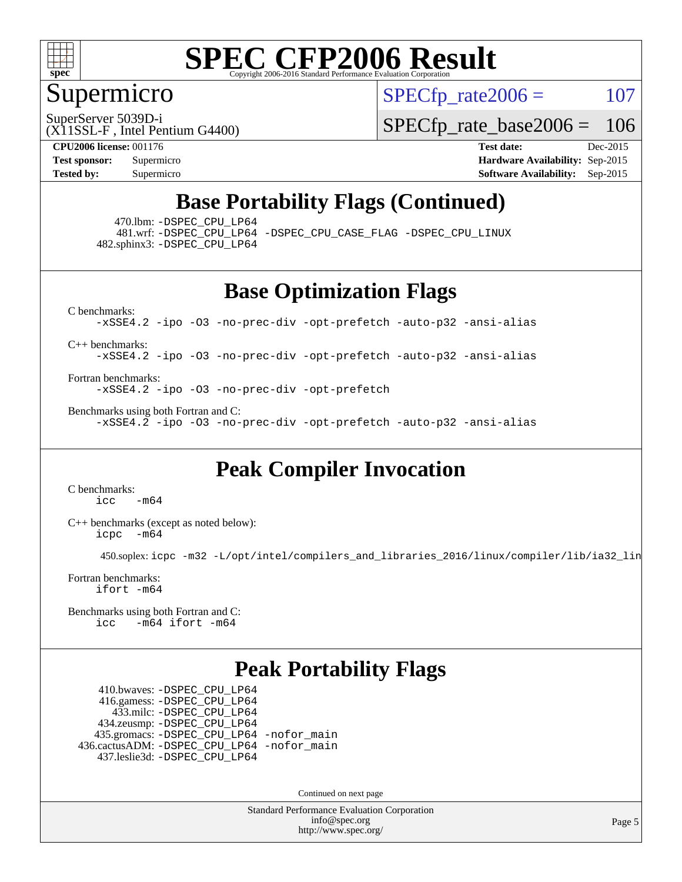

### Supermicro

 $SPECTp\_rate2006 = 107$ 

SuperServer 5039D-i

[SPECfp\\_rate\\_base2006 =](http://www.spec.org/auto/cpu2006/Docs/result-fields.html#SPECfpratebase2006) 106

(X11SSL-F , Intel Pentium G4400)

**[CPU2006 license:](http://www.spec.org/auto/cpu2006/Docs/result-fields.html#CPU2006license)** 001176 **[Test date:](http://www.spec.org/auto/cpu2006/Docs/result-fields.html#Testdate)** Dec-2015 **[Test sponsor:](http://www.spec.org/auto/cpu2006/Docs/result-fields.html#Testsponsor)** Supermicro **[Hardware Availability:](http://www.spec.org/auto/cpu2006/Docs/result-fields.html#HardwareAvailability)** Sep-2015 **[Tested by:](http://www.spec.org/auto/cpu2006/Docs/result-fields.html#Testedby)** Supermicro **Supermicro [Software Availability:](http://www.spec.org/auto/cpu2006/Docs/result-fields.html#SoftwareAvailability)** Sep-2015

## **[Base Portability Flags \(Continued\)](http://www.spec.org/auto/cpu2006/Docs/result-fields.html#BasePortabilityFlags)**

470.lbm: [-DSPEC\\_CPU\\_LP64](http://www.spec.org/cpu2006/results/res2016q1/cpu2006-20160106-38591.flags.html#suite_basePORTABILITY470_lbm_DSPEC_CPU_LP64)

 481.wrf: [-DSPEC\\_CPU\\_LP64](http://www.spec.org/cpu2006/results/res2016q1/cpu2006-20160106-38591.flags.html#suite_basePORTABILITY481_wrf_DSPEC_CPU_LP64) [-DSPEC\\_CPU\\_CASE\\_FLAG](http://www.spec.org/cpu2006/results/res2016q1/cpu2006-20160106-38591.flags.html#b481.wrf_baseCPORTABILITY_DSPEC_CPU_CASE_FLAG) [-DSPEC\\_CPU\\_LINUX](http://www.spec.org/cpu2006/results/res2016q1/cpu2006-20160106-38591.flags.html#b481.wrf_baseCPORTABILITY_DSPEC_CPU_LINUX) 482.sphinx3: [-DSPEC\\_CPU\\_LP64](http://www.spec.org/cpu2006/results/res2016q1/cpu2006-20160106-38591.flags.html#suite_basePORTABILITY482_sphinx3_DSPEC_CPU_LP64)

**[Base Optimization Flags](http://www.spec.org/auto/cpu2006/Docs/result-fields.html#BaseOptimizationFlags)**

[C benchmarks](http://www.spec.org/auto/cpu2006/Docs/result-fields.html#Cbenchmarks): [-xSSE4.2](http://www.spec.org/cpu2006/results/res2016q1/cpu2006-20160106-38591.flags.html#user_CCbase_f-xSSE42_f91528193cf0b216347adb8b939d4107) [-ipo](http://www.spec.org/cpu2006/results/res2016q1/cpu2006-20160106-38591.flags.html#user_CCbase_f-ipo) [-O3](http://www.spec.org/cpu2006/results/res2016q1/cpu2006-20160106-38591.flags.html#user_CCbase_f-O3) [-no-prec-div](http://www.spec.org/cpu2006/results/res2016q1/cpu2006-20160106-38591.flags.html#user_CCbase_f-no-prec-div) [-opt-prefetch](http://www.spec.org/cpu2006/results/res2016q1/cpu2006-20160106-38591.flags.html#user_CCbase_f-opt-prefetch) [-auto-p32](http://www.spec.org/cpu2006/results/res2016q1/cpu2006-20160106-38591.flags.html#user_CCbase_f-auto-p32) [-ansi-alias](http://www.spec.org/cpu2006/results/res2016q1/cpu2006-20160106-38591.flags.html#user_CCbase_f-ansi-alias)

[C++ benchmarks:](http://www.spec.org/auto/cpu2006/Docs/result-fields.html#CXXbenchmarks)

[-xSSE4.2](http://www.spec.org/cpu2006/results/res2016q1/cpu2006-20160106-38591.flags.html#user_CXXbase_f-xSSE42_f91528193cf0b216347adb8b939d4107) [-ipo](http://www.spec.org/cpu2006/results/res2016q1/cpu2006-20160106-38591.flags.html#user_CXXbase_f-ipo) [-O3](http://www.spec.org/cpu2006/results/res2016q1/cpu2006-20160106-38591.flags.html#user_CXXbase_f-O3) [-no-prec-div](http://www.spec.org/cpu2006/results/res2016q1/cpu2006-20160106-38591.flags.html#user_CXXbase_f-no-prec-div) [-opt-prefetch](http://www.spec.org/cpu2006/results/res2016q1/cpu2006-20160106-38591.flags.html#user_CXXbase_f-opt-prefetch) [-auto-p32](http://www.spec.org/cpu2006/results/res2016q1/cpu2006-20160106-38591.flags.html#user_CXXbase_f-auto-p32) [-ansi-alias](http://www.spec.org/cpu2006/results/res2016q1/cpu2006-20160106-38591.flags.html#user_CXXbase_f-ansi-alias)

[Fortran benchmarks](http://www.spec.org/auto/cpu2006/Docs/result-fields.html#Fortranbenchmarks): [-xSSE4.2](http://www.spec.org/cpu2006/results/res2016q1/cpu2006-20160106-38591.flags.html#user_FCbase_f-xSSE42_f91528193cf0b216347adb8b939d4107) [-ipo](http://www.spec.org/cpu2006/results/res2016q1/cpu2006-20160106-38591.flags.html#user_FCbase_f-ipo) [-O3](http://www.spec.org/cpu2006/results/res2016q1/cpu2006-20160106-38591.flags.html#user_FCbase_f-O3) [-no-prec-div](http://www.spec.org/cpu2006/results/res2016q1/cpu2006-20160106-38591.flags.html#user_FCbase_f-no-prec-div) [-opt-prefetch](http://www.spec.org/cpu2006/results/res2016q1/cpu2006-20160106-38591.flags.html#user_FCbase_f-opt-prefetch)

[Benchmarks using both Fortran and C](http://www.spec.org/auto/cpu2006/Docs/result-fields.html#BenchmarksusingbothFortranandC): [-xSSE4.2](http://www.spec.org/cpu2006/results/res2016q1/cpu2006-20160106-38591.flags.html#user_CC_FCbase_f-xSSE42_f91528193cf0b216347adb8b939d4107) [-ipo](http://www.spec.org/cpu2006/results/res2016q1/cpu2006-20160106-38591.flags.html#user_CC_FCbase_f-ipo) [-O3](http://www.spec.org/cpu2006/results/res2016q1/cpu2006-20160106-38591.flags.html#user_CC_FCbase_f-O3) [-no-prec-div](http://www.spec.org/cpu2006/results/res2016q1/cpu2006-20160106-38591.flags.html#user_CC_FCbase_f-no-prec-div) [-opt-prefetch](http://www.spec.org/cpu2006/results/res2016q1/cpu2006-20160106-38591.flags.html#user_CC_FCbase_f-opt-prefetch) [-auto-p32](http://www.spec.org/cpu2006/results/res2016q1/cpu2006-20160106-38591.flags.html#user_CC_FCbase_f-auto-p32) [-ansi-alias](http://www.spec.org/cpu2006/results/res2016q1/cpu2006-20160106-38591.flags.html#user_CC_FCbase_f-ansi-alias)

## **[Peak Compiler Invocation](http://www.spec.org/auto/cpu2006/Docs/result-fields.html#PeakCompilerInvocation)**

[C benchmarks](http://www.spec.org/auto/cpu2006/Docs/result-fields.html#Cbenchmarks):  $-m64$ 

[C++ benchmarks \(except as noted below\):](http://www.spec.org/auto/cpu2006/Docs/result-fields.html#CXXbenchmarksexceptasnotedbelow) [icpc -m64](http://www.spec.org/cpu2006/results/res2016q1/cpu2006-20160106-38591.flags.html#user_CXXpeak_intel_icpc_64bit_bedb90c1146cab66620883ef4f41a67e)

450.soplex: [icpc -m32 -L/opt/intel/compilers\\_and\\_libraries\\_2016/linux/compiler/lib/ia32\\_lin](http://www.spec.org/cpu2006/results/res2016q1/cpu2006-20160106-38591.flags.html#user_peakCXXLD450_soplex_intel_icpc_b4f50a394bdb4597aa5879c16bc3f5c5)

[Fortran benchmarks](http://www.spec.org/auto/cpu2006/Docs/result-fields.html#Fortranbenchmarks): [ifort -m64](http://www.spec.org/cpu2006/results/res2016q1/cpu2006-20160106-38591.flags.html#user_FCpeak_intel_ifort_64bit_ee9d0fb25645d0210d97eb0527dcc06e)

[Benchmarks using both Fortran and C](http://www.spec.org/auto/cpu2006/Docs/result-fields.html#BenchmarksusingbothFortranandC): [icc -m64](http://www.spec.org/cpu2006/results/res2016q1/cpu2006-20160106-38591.flags.html#user_CC_FCpeak_intel_icc_64bit_0b7121f5ab7cfabee23d88897260401c) [ifort -m64](http://www.spec.org/cpu2006/results/res2016q1/cpu2006-20160106-38591.flags.html#user_CC_FCpeak_intel_ifort_64bit_ee9d0fb25645d0210d97eb0527dcc06e)

## **[Peak Portability Flags](http://www.spec.org/auto/cpu2006/Docs/result-fields.html#PeakPortabilityFlags)**

 410.bwaves: [-DSPEC\\_CPU\\_LP64](http://www.spec.org/cpu2006/results/res2016q1/cpu2006-20160106-38591.flags.html#suite_peakPORTABILITY410_bwaves_DSPEC_CPU_LP64) 416.gamess: [-DSPEC\\_CPU\\_LP64](http://www.spec.org/cpu2006/results/res2016q1/cpu2006-20160106-38591.flags.html#suite_peakPORTABILITY416_gamess_DSPEC_CPU_LP64) 433.milc: [-DSPEC\\_CPU\\_LP64](http://www.spec.org/cpu2006/results/res2016q1/cpu2006-20160106-38591.flags.html#suite_peakPORTABILITY433_milc_DSPEC_CPU_LP64) 434.zeusmp: [-DSPEC\\_CPU\\_LP64](http://www.spec.org/cpu2006/results/res2016q1/cpu2006-20160106-38591.flags.html#suite_peakPORTABILITY434_zeusmp_DSPEC_CPU_LP64) 435.gromacs: [-DSPEC\\_CPU\\_LP64](http://www.spec.org/cpu2006/results/res2016q1/cpu2006-20160106-38591.flags.html#suite_peakPORTABILITY435_gromacs_DSPEC_CPU_LP64) [-nofor\\_main](http://www.spec.org/cpu2006/results/res2016q1/cpu2006-20160106-38591.flags.html#user_peakLDPORTABILITY435_gromacs_f-nofor_main) 436.cactusADM: [-DSPEC\\_CPU\\_LP64](http://www.spec.org/cpu2006/results/res2016q1/cpu2006-20160106-38591.flags.html#suite_peakPORTABILITY436_cactusADM_DSPEC_CPU_LP64) [-nofor\\_main](http://www.spec.org/cpu2006/results/res2016q1/cpu2006-20160106-38591.flags.html#user_peakLDPORTABILITY436_cactusADM_f-nofor_main) 437.leslie3d: [-DSPEC\\_CPU\\_LP64](http://www.spec.org/cpu2006/results/res2016q1/cpu2006-20160106-38591.flags.html#suite_peakPORTABILITY437_leslie3d_DSPEC_CPU_LP64)

Continued on next page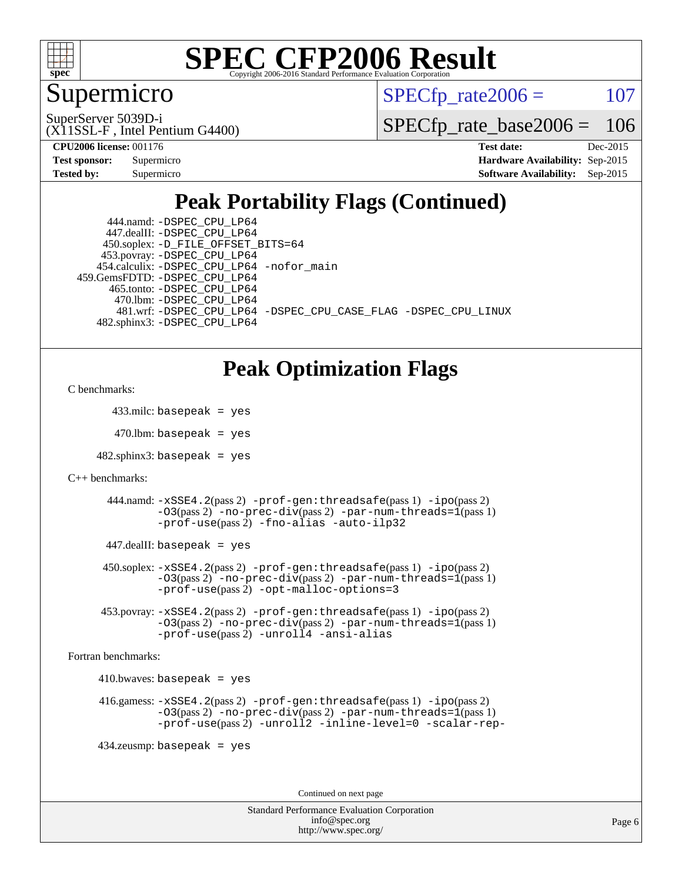

### Supermicro

 $SPECTp\_rate2006 = 107$ 

(X11SSL-F , Intel Pentium G4400) SuperServer 5039D-i

[SPECfp\\_rate\\_base2006 =](http://www.spec.org/auto/cpu2006/Docs/result-fields.html#SPECfpratebase2006) 106

**[CPU2006 license:](http://www.spec.org/auto/cpu2006/Docs/result-fields.html#CPU2006license)** 001176 **[Test date:](http://www.spec.org/auto/cpu2006/Docs/result-fields.html#Testdate)** Dec-2015

| <b>Test sponsor:</b> | Supermicro |
|----------------------|------------|
| Tested by:           | Supermicro |

**[Hardware Availability:](http://www.spec.org/auto/cpu2006/Docs/result-fields.html#HardwareAvailability)** Sep-2015 **[Software Availability:](http://www.spec.org/auto/cpu2006/Docs/result-fields.html#SoftwareAvailability)** Sep-2015

## **[Peak Portability Flags \(Continued\)](http://www.spec.org/auto/cpu2006/Docs/result-fields.html#PeakPortabilityFlags)**

| 444.namd: - DSPEC CPU LP64                                     |
|----------------------------------------------------------------|
| 447.dealII: -DSPEC CPU LP64                                    |
| 450.soplex: -D_FILE_OFFSET_BITS=64                             |
| 453.povray: -DSPEC_CPU_LP64                                    |
| 454.calculix: -DSPEC_CPU_LP64 -nofor_main                      |
| 459.GemsFDTD: -DSPEC CPU LP64                                  |
| 465.tonto: -DSPEC CPU LP64                                     |
| 470.1bm: - DSPEC CPU LP64                                      |
| 481.wrf: -DSPEC CPU_LP64 -DSPEC_CPU_CASE_FLAG -DSPEC_CPU_LINUX |
| 482.sphinx3: -DSPEC_CPU_LP64                                   |

### **[Peak Optimization Flags](http://www.spec.org/auto/cpu2006/Docs/result-fields.html#PeakOptimizationFlags)**

```
C benchmarks:
```
433.milc: basepeak = yes

 $470$ .lbm: basepeak = yes

 $482$ .sphinx3: basepeak = yes

```
C++ benchmarks:
```
 444.namd: [-xSSE4.2](http://www.spec.org/cpu2006/results/res2016q1/cpu2006-20160106-38591.flags.html#user_peakPASS2_CXXFLAGSPASS2_LDFLAGS444_namd_f-xSSE42_f91528193cf0b216347adb8b939d4107)(pass 2) [-prof-gen:threadsafe](http://www.spec.org/cpu2006/results/res2016q1/cpu2006-20160106-38591.flags.html#user_peakPASS1_CXXFLAGSPASS1_LDFLAGS444_namd_prof_gen_21a26eb79f378b550acd7bec9fe4467a)(pass 1) [-ipo](http://www.spec.org/cpu2006/results/res2016q1/cpu2006-20160106-38591.flags.html#user_peakPASS2_CXXFLAGSPASS2_LDFLAGS444_namd_f-ipo)(pass 2) [-O3](http://www.spec.org/cpu2006/results/res2016q1/cpu2006-20160106-38591.flags.html#user_peakPASS2_CXXFLAGSPASS2_LDFLAGS444_namd_f-O3)(pass 2) [-no-prec-div](http://www.spec.org/cpu2006/results/res2016q1/cpu2006-20160106-38591.flags.html#user_peakPASS2_CXXFLAGSPASS2_LDFLAGS444_namd_f-no-prec-div)(pass 2) [-par-num-threads=1](http://www.spec.org/cpu2006/results/res2016q1/cpu2006-20160106-38591.flags.html#user_peakPASS1_CXXFLAGSPASS1_LDFLAGS444_namd_par_num_threads_786a6ff141b4e9e90432e998842df6c2)(pass 1) [-prof-use](http://www.spec.org/cpu2006/results/res2016q1/cpu2006-20160106-38591.flags.html#user_peakPASS2_CXXFLAGSPASS2_LDFLAGS444_namd_prof_use_bccf7792157ff70d64e32fe3e1250b55)(pass 2) [-fno-alias](http://www.spec.org/cpu2006/results/res2016q1/cpu2006-20160106-38591.flags.html#user_peakCXXOPTIMIZE444_namd_f-no-alias_694e77f6c5a51e658e82ccff53a9e63a) [-auto-ilp32](http://www.spec.org/cpu2006/results/res2016q1/cpu2006-20160106-38591.flags.html#user_peakCXXOPTIMIZE444_namd_f-auto-ilp32)

447.dealII: basepeak = yes

 450.soplex: [-xSSE4.2](http://www.spec.org/cpu2006/results/res2016q1/cpu2006-20160106-38591.flags.html#user_peakPASS2_CXXFLAGSPASS2_LDFLAGS450_soplex_f-xSSE42_f91528193cf0b216347adb8b939d4107)(pass 2) [-prof-gen:threadsafe](http://www.spec.org/cpu2006/results/res2016q1/cpu2006-20160106-38591.flags.html#user_peakPASS1_CXXFLAGSPASS1_LDFLAGS450_soplex_prof_gen_21a26eb79f378b550acd7bec9fe4467a)(pass 1) [-ipo](http://www.spec.org/cpu2006/results/res2016q1/cpu2006-20160106-38591.flags.html#user_peakPASS2_CXXFLAGSPASS2_LDFLAGS450_soplex_f-ipo)(pass 2) [-O3](http://www.spec.org/cpu2006/results/res2016q1/cpu2006-20160106-38591.flags.html#user_peakPASS2_CXXFLAGSPASS2_LDFLAGS450_soplex_f-O3)(pass 2) [-no-prec-div](http://www.spec.org/cpu2006/results/res2016q1/cpu2006-20160106-38591.flags.html#user_peakPASS2_CXXFLAGSPASS2_LDFLAGS450_soplex_f-no-prec-div)(pass 2) [-par-num-threads=1](http://www.spec.org/cpu2006/results/res2016q1/cpu2006-20160106-38591.flags.html#user_peakPASS1_CXXFLAGSPASS1_LDFLAGS450_soplex_par_num_threads_786a6ff141b4e9e90432e998842df6c2)(pass 1) [-prof-use](http://www.spec.org/cpu2006/results/res2016q1/cpu2006-20160106-38591.flags.html#user_peakPASS2_CXXFLAGSPASS2_LDFLAGS450_soplex_prof_use_bccf7792157ff70d64e32fe3e1250b55)(pass 2) [-opt-malloc-options=3](http://www.spec.org/cpu2006/results/res2016q1/cpu2006-20160106-38591.flags.html#user_peakOPTIMIZE450_soplex_f-opt-malloc-options_13ab9b803cf986b4ee62f0a5998c2238)

 453.povray: [-xSSE4.2](http://www.spec.org/cpu2006/results/res2016q1/cpu2006-20160106-38591.flags.html#user_peakPASS2_CXXFLAGSPASS2_LDFLAGS453_povray_f-xSSE42_f91528193cf0b216347adb8b939d4107)(pass 2) [-prof-gen:threadsafe](http://www.spec.org/cpu2006/results/res2016q1/cpu2006-20160106-38591.flags.html#user_peakPASS1_CXXFLAGSPASS1_LDFLAGS453_povray_prof_gen_21a26eb79f378b550acd7bec9fe4467a)(pass 1) [-ipo](http://www.spec.org/cpu2006/results/res2016q1/cpu2006-20160106-38591.flags.html#user_peakPASS2_CXXFLAGSPASS2_LDFLAGS453_povray_f-ipo)(pass 2) [-O3](http://www.spec.org/cpu2006/results/res2016q1/cpu2006-20160106-38591.flags.html#user_peakPASS2_CXXFLAGSPASS2_LDFLAGS453_povray_f-O3)(pass 2) [-no-prec-div](http://www.spec.org/cpu2006/results/res2016q1/cpu2006-20160106-38591.flags.html#user_peakPASS2_CXXFLAGSPASS2_LDFLAGS453_povray_f-no-prec-div)(pass 2) [-par-num-threads=1](http://www.spec.org/cpu2006/results/res2016q1/cpu2006-20160106-38591.flags.html#user_peakPASS1_CXXFLAGSPASS1_LDFLAGS453_povray_par_num_threads_786a6ff141b4e9e90432e998842df6c2)(pass 1) [-prof-use](http://www.spec.org/cpu2006/results/res2016q1/cpu2006-20160106-38591.flags.html#user_peakPASS2_CXXFLAGSPASS2_LDFLAGS453_povray_prof_use_bccf7792157ff70d64e32fe3e1250b55)(pass 2) [-unroll4](http://www.spec.org/cpu2006/results/res2016q1/cpu2006-20160106-38591.flags.html#user_peakCXXOPTIMIZE453_povray_f-unroll_4e5e4ed65b7fd20bdcd365bec371b81f) [-ansi-alias](http://www.spec.org/cpu2006/results/res2016q1/cpu2006-20160106-38591.flags.html#user_peakCXXOPTIMIZE453_povray_f-ansi-alias)

[Fortran benchmarks](http://www.spec.org/auto/cpu2006/Docs/result-fields.html#Fortranbenchmarks):

 $410.bwaves: basepeak = yes$ 

```
 416.gamess: -xSSE4.2(pass 2) -prof-gen:threadsafe(pass 1) -ipo(pass 2)
-O3(pass 2) -no-prec-div(pass 2) -par-num-threads=1(pass 1)
-prof-use(pass 2) -unroll2 -inline-level=0 -scalar-rep-
```
434.zeusmp: basepeak = yes

Continued on next page